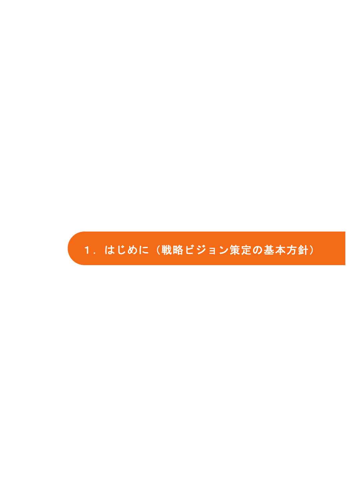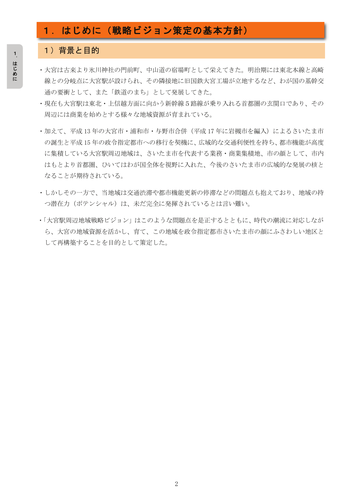## 1. はじめに(戦略ビジョン策定の基本方針)

## 1) 背景と目的

- 大宮は古来より氷川神社の門前町、中山道の宿場町として栄えてきた。明治期には東北本線と高崎 線との分岐点に大宮駅が設けられ、その隣接地に旧国鉄大宮工場が立地するなど、わが国の基幹交 通の要衝として、また「鉄道のまち」として発展してきた。
- •現在も大宮駅は東北·上信越方面に向かう新幹線5路線が乗り入れる首都圏の玄関口であり、その 周辺には商業を始めとする様々な地域資源が育まれている。
- ・加えて、平成 13年の大宮市・浦和市・与野市合併(平成 17年に岩槻市を編入)によるさいたま市 の誕生と平成15年の政令指定都市への移行を契機に、広域的な交通利便性を持ち、都市機能が高度 に集積している大宮駅周辺地域は、さいたま市を代表する業務·商業集積地、市の顔として、市内 はもとより首都圏、ひいてはわが国全体を視野に入れた、今後のさいたま市の広域的な発展の核と なることが期待されている。
- しかしその一方で、当地域は交通渋滞や都市機能更新の停滞などの間題点も抱えており、地域の特 つ潜在力(ポテンシャル)は、未だ完全に発揮されているとは言い難い。
- ・「大宮駅周辺地域戦略ビジョン」はこのような問題点を是正するとともに、時代の潮流に対応しなが ら、大宮の地域資源を活かし、育て、この地域を政令指定都市さいたま市の顔にふさわしい地区と して再構築することを目的として策定した。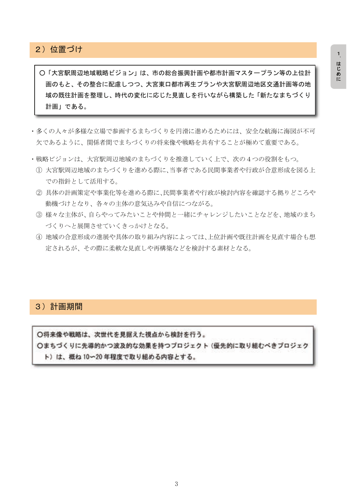### 2) 位置づけ

○「大宮駅周辺地域戦略ビジョン」は、市の総合振興計画や都市計画マスタープラン等の上位計 画のもと、その整合に配慮しつつ、大宮東口都市再生プランや大宮駅周辺地区交通計画等の地 域の既往計画を整理し、時代の変化に応じた見直しを行いながら構築した「新たなまちづくり 計画」である。

- ・多くの人々が多様な立場で参画するまちづくりを円滑に進めるためには、安全な航海に海図が不可 欠であるように、関係者間でまちづくりの将来像や戦略を共有することが極めて重要である。
- •戦略ビジョンは、大宮駅周辺地域のまちづくりを推進していく上で、次の4つの役割をもつ。
	- 1 大宮駅周辺地域のまちづくりを進める際に、当事者である民間事業者や行政が合意形成を図る上 での指針として活用する。
	- ② 具体の計画策定や事業化等を進める際に、民間事業者や行政が検討内容を確認する拠りどころや 動機づけとなり、各々の主体の意気込みや自信につながる。
	- ③ 様々な主体が、自らやってみたいことや仲間と一緒にチャレンジしたいことなどを、地域のまち づくりへと展開させていくきっかけとなる。
	- (4) 地域の合意形成の進展や具体の取り組み内容によっては、上位計画や既往計画を見直す場合も想 定されるが、その際に柔軟な見直しや再構築などを検討する素材となる。

#### 3) 計画期間

○将来像や戦略は、次世代を見据えた視点から検討を行う。 ○まちづくりに先導的かつ波及的な効果を持つプロジェクト (優先的に取り組むべきプロジェク ト)は、概ね10~20年程度で取り組める内容とする。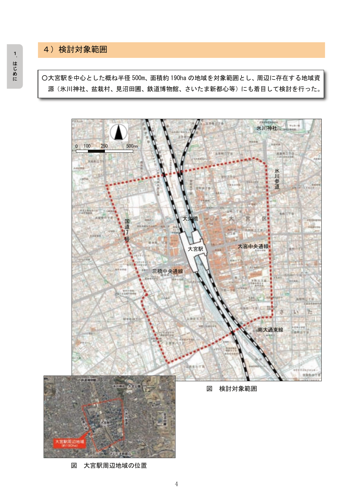## 4) 検討対象範囲

〇大宮駅を中心とした概ね半径 500m、面積約 190ha の地域を対象範囲とし、周辺に存在する地域資 源(氷川神社、盆栽村、見沼田圃、鉄道博物館、さいたま新都心等)にも着目して検討を行った。



大宮駅周辺地域の位置 図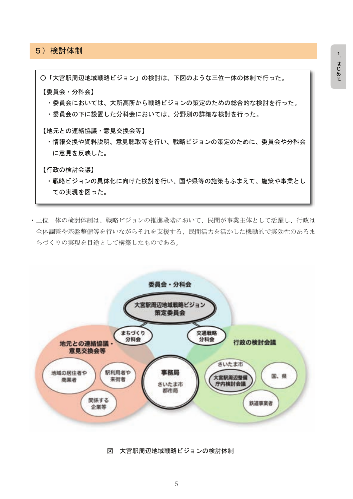#### 5) 検討体制

○「大宮駅周辺地域戦略ビジョン」の検討は、下図のような三位一体の体制で行った。

【委員会·分科会】

- ・委員会においては、大所高所から戦略ビジョンの策定のための総合的な検討を行った。
- ・委員会の下に設置した分科会においては、分野別の詳細な検討を行った。

【地元との連絡協議・意見交換会等】

・情報交換や資料説明、意見聴取等を行い、戦略ビジョンの策定のために、委員会や分科会 に意見を反映した。

【行政の検討会議】

・戦略ビジョンの具体化に向けた検討を行い、国や県等の施策もふまえて、施策や事業とし ての実現を図った。

・三位一体の検討体制は、戦略ビジョンの推進段階において、民間が事業主体として活躍し、行政は 全体調整や基盤整備等を行いながらそれを支援する、民間活力を活かした機動的で実効性のあるま ちづくりの実現を目涂として構築したものである。



図 大宮駅周辺地域戦略ビジョンの検討体制